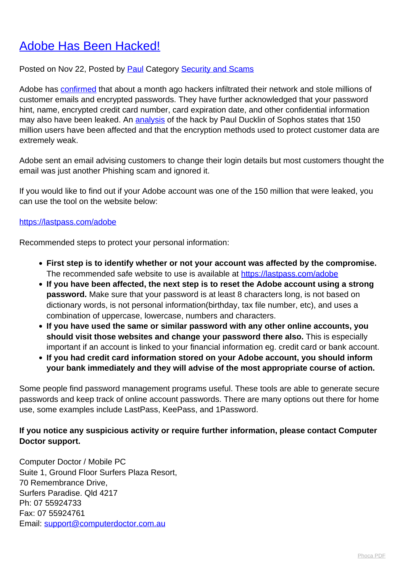## [Adobe Has Been Hacked!](http://www.computerdoctor.com.au/news/adobe-has-been-hacked)

## Posted on Nov 22, Posted by **Paul Category [Security and Scams](http://www.computerdoctor.com.au/news/categories/security-and-scams)**

Adobe has [confirmed](http://helpx.adobe.com/x-productkb/policy-pricing/ecc.html) that about a month ago hackers infiltrated their network and stole millions of customer emails and encrypted passwords. They have further acknowledged that your password hint, name, encrypted credit card number, card expiration date, and other confidential information may also have been leaked. An [analysis](http://nakedsecurity.sophos.com/2013/11/04/anatomy-of-a-password-disaster-adobes-giant-sized-cryptographic-blunder/) of the hack by Paul Ducklin of Sophos states that 150 million users have been affected and that the encryption methods used to protect customer data are extremely weak.

Adobe sent an email advising customers to change their login details but most customers thought the email was just another Phishing scam and ignored it.

If you would like to find out if your Adobe account was one of the 150 million that were leaked, you can use the tool on the website below:

## <https://lastpass.com/adobe>

Recommended steps to protect your personal information:

- **First step is to identify whether or not your account was affected by the compromise.** The recommended safe website to use is available at <https://lastpass.com/adobe>
- **If you have been affected, the next step is to reset the Adobe account using a strong password.** Make sure that your password is at least 8 characters long, is not based on dictionary words, is not personal information(birthday, tax file number, etc), and uses a combination of uppercase, lowercase, numbers and characters.
- **If you have used the same or similar password with any other online accounts, you should visit those websites and change your password there also.** This is especially important if an account is linked to your financial information eg. credit card or bank account.
- **If you had credit card information stored on your Adobe account, you should inform your bank immediately and they will advise of the most appropriate course of action.**

Some people find password management programs useful. These tools are able to generate secure passwords and keep track of online account passwords. There are many options out there for home use, some examples include LastPass, KeePass, and 1Password.

## **If you notice any suspicious activity or require further information, please contact Computer Doctor support.**

Computer Doctor / Mobile PC Suite 1, Ground Floor Surfers Plaza Resort, 70 Remembrance Drive, Surfers Paradise. Qld 4217 Ph: 07 55924733 Fax: 07 55924761 Email: [support@computerdoctor.com.au](mailto:support@computerdoctor.com.au)